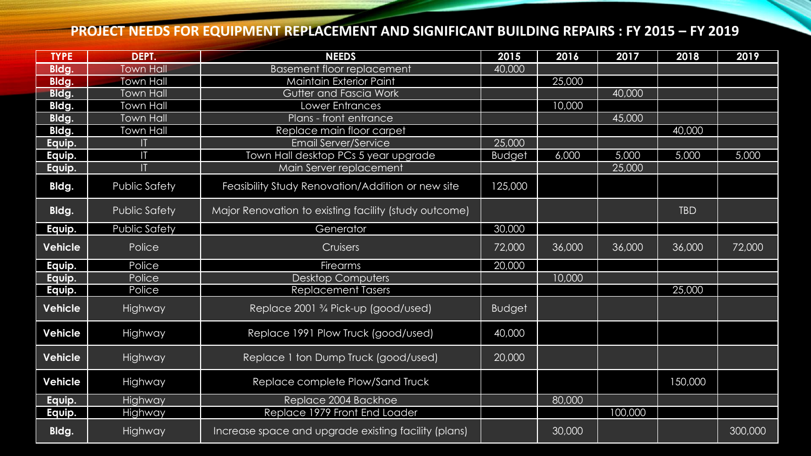## **PROJECT NEEDS FOR EQUIPMENT REPLACEMENT AND SIGNIFICANT BUILDING REPAIRS : FY 2015 – FY 2019**

| <b>TYPE</b>    | DEPT.                | <b>NEEDS</b>                                                 | 2015          | 2016   | 2017    | 2018       | 2019    |
|----------------|----------------------|--------------------------------------------------------------|---------------|--------|---------|------------|---------|
| Bldg.          | <b>Town Hall</b>     | <b>Basement floor replacement</b>                            | 40,000        |        |         |            |         |
| Bldg.          | <b>Town Hall</b>     | Maintain Exterior Paint                                      |               | 25,000 |         |            |         |
| Bldg.          | <b>Town Hall</b>     | Gutter and Fascia Work                                       |               |        | 40,000  |            |         |
| Bldg.          | <b>Town Hall</b>     | ower Entrances                                               |               | 10,000 |         |            |         |
| Bldg.          | <b>Town Hall</b>     | Plans - front entrance                                       |               |        | 45,000  |            |         |
| Bldg.          | Town Hall            | Replace main floor carpet                                    |               |        |         | 40,000     |         |
| Equip.         | П                    | <b>Email Server/Service</b>                                  | 25,000        |        |         |            |         |
| Equip.         | П                    | Town Hall desktop PCs 5 year upgrade                         | <b>Budget</b> | 6,000  | 5,000   | 5,000      | 5,000   |
| Equip.         | ĪT                   | Main Server replacement                                      |               |        | 25,000  |            |         |
| Bldg.          | <b>Public Safety</b> | Feasibility Study Renovation/Addition or new site            | 125,000       |        |         |            |         |
| Bldg.          | <b>Public Safety</b> | Major Renovation to existing facility (study outcome)        |               |        |         | <b>TBD</b> |         |
| Equip.         | Public Safety        | Generator                                                    | 30,000        |        |         |            |         |
| <b>Vehicle</b> | Police               | Cruisers                                                     | 72,000        | 36,000 | 36,000  | 36,000     | 72,000  |
| Equip.         | Police               | <b>Firearms</b>                                              | 20,000        |        |         |            |         |
| Equip.         | Police               | Desktop Computers                                            |               | 10,000 |         |            |         |
| Equip.         | Police               | <b>Replacement Tasers</b>                                    |               |        |         | 25,000     |         |
| <b>Vehicle</b> | Highway              | Replace 2001 <sup>3</sup> / <sub>4</sub> Pick-up (good/used) | <b>Budget</b> |        |         |            |         |
| <b>Vehicle</b> | Highway              | Replace 1991 Plow Truck (good/used)                          | 40,000        |        |         |            |         |
| <b>Vehicle</b> | Highway              | Replace 1 ton Dump Truck (good/used)                         | 20,000        |        |         |            |         |
| <b>Vehicle</b> | Highway              | Replace complete Plow/Sand Truck                             |               |        |         | 150,000    |         |
| Equip.         | Highway              | Replace 2004 Backhoe                                         |               | 80,000 |         |            |         |
| Equip.         | Highway              | Replace 1979 Front End Loader                                |               |        | 100,000 |            |         |
| Bldg.          | Highway              | Increase space and upgrade existing facility (plans)         |               | 30,000 |         |            | 300,000 |